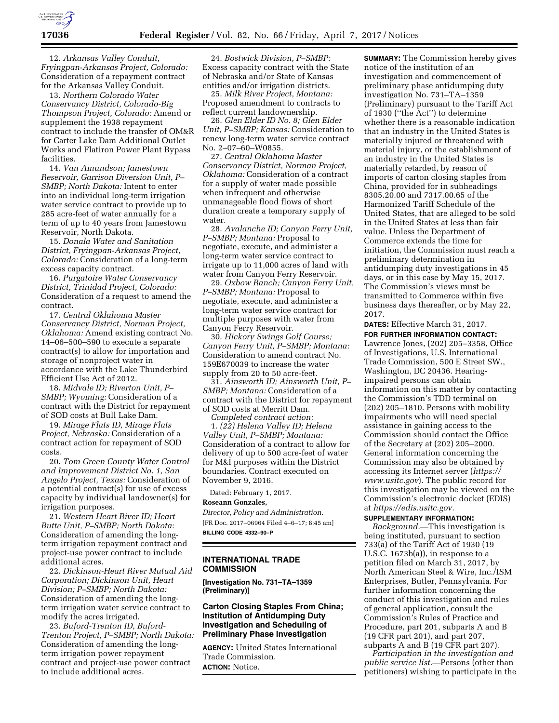

12. *Arkansas Valley Conduit, Fryingpan-Arkansas Project, Colorado:*  Consideration of a repayment contract for the Arkansas Valley Conduit.

13. *Northern Colorado Water Conservancy District, Colorado-Big Thompson Project, Colorado:* Amend or supplement the 1938 repayment contract to include the transfer of OM&R for Carter Lake Dam Additional Outlet Works and Flatiron Power Plant Bypass facilities.

14. *Van Amundson; Jamestown Reservoir, Garrison Diversion Unit, P– SMBP; North Dakota:* Intent to enter into an individual long-term irrigation water service contract to provide up to 285 acre-feet of water annually for a term of up to 40 years from Jamestown Reservoir, North Dakota.

15. *Donala Water and Sanitation District, Fryingpan-Arkansas Project, Colorado:* Consideration of a long-term excess capacity contract.

16. *Purgatoire Water Conservancy District, Trinidad Project, Colorado:*  Consideration of a request to amend the contract.

17. *Central Oklahoma Master Conservancy District, Norman Project, Oklahoma:* Amend existing contract No. 14–06–500–590 to execute a separate contract(s) to allow for importation and storage of nonproject water in accordance with the Lake Thunderbird Efficient Use Act of 2012.

18. *Midvale ID; Riverton Unit, P– SMBP; Wyoming:* Consideration of a contract with the District for repayment of SOD costs at Bull Lake Dam.

19. *Mirage Flats ID, Mirage Flats Project, Nebraska:* Consideration of a contract action for repayment of SOD costs.

20. *Tom Green County Water Control and Improvement District No. 1, San Angelo Project, Texas:* Consideration of a potential contract(s) for use of excess capacity by individual landowner(s) for irrigation purposes.

21. *Western Heart River ID; Heart Butte Unit, P–SMBP; North Dakota:*  Consideration of amending the longterm irrigation repayment contract and project-use power contract to include additional acres.

22. *Dickinson-Heart River Mutual Aid Corporation; Dickinson Unit, Heart Division; P–SMBP; North Dakota:*  Consideration of amending the longterm irrigation water service contract to modify the acres irrigated.

23. *Buford-Trenton ID, Buford-Trenton Project, P–SMBP; North Dakota:*  Consideration of amending the longterm irrigation power repayment contract and project-use power contract to include additional acres.

24. *Bostwick Division, P–SMBP:*  Excess capacity contract with the State of Nebraska and/or State of Kansas entities and/or irrigation districts.

25. *Milk River Project, Montana:*  Proposed amendment to contracts to reflect current landownership.

26. *Glen Elder ID No. 8; Glen Elder Unit, P–SMBP; Kansas:* Consideration to renew long-term water service contract No. 2–07–60–W0855.

27. *Central Oklahoma Master Conservancy District, Norman Project, Oklahoma:* Consideration of a contract for a supply of water made possible when infrequent and otherwise unmanageable flood flows of short duration create a temporary supply of water.

28. *Avalanche ID; Canyon Ferry Unit, P–SMBP; Montana:* Proposal to negotiate, execute, and administer a long-term water service contract to irrigate up to 11,000 acres of land with water from Canyon Ferry Reservoir.

29. *Oxbow Ranch; Canyon Ferry Unit, P–SMBP; Montana:* Proposal to negotiate, execute, and administer a long-term water service contract for multiple purposes with water from Canyon Ferry Reservoir.

30. *Hickory Swings Golf Course; Canyon Ferry Unit, P–SMBP; Montana:*  Consideration to amend contract No. 159E670039 to increase the water supply from 20 to 50 acre-feet.

31. *Ainsworth ID; Ainsworth Unit, P– SMBP; Montana:* Consideration of a contract with the District for repayment of SOD costs at Merritt Dam.

*Completed contract action:*  1. *(22) Helena Valley ID; Helena Valley Unit, P–SMBP; Montana:*  Consideration of a contract to allow for delivery of up to 500 acre-feet of water for M&I purposes within the District boundaries. Contract executed on November 9, 2016.

Dated: February 1, 2017.

#### **Roseann Gonzales,**

*Director, Policy and Administration.*  [FR Doc. 2017–06964 Filed 4–6–17; 8:45 am] **BILLING CODE 4332–90–P** 

# **INTERNATIONAL TRADE COMMISSION**

**[Investigation No. 731–TA–1359 (Preliminary)]** 

# **Carton Closing Staples From China; Institution of Antidumping Duty Investigation and Scheduling of Preliminary Phase Investigation**

**AGENCY:** United States International Trade Commission. **ACTION:** Notice.

**SUMMARY:** The Commission hereby gives notice of the institution of an investigation and commencement of preliminary phase antidumping duty investigation No. 731–TA–1359 (Preliminary) pursuant to the Tariff Act of 1930 (''the Act'') to determine whether there is a reasonable indication that an industry in the United States is materially injured or threatened with material injury, or the establishment of an industry in the United States is materially retarded, by reason of imports of carton closing staples from China, provided for in subheadings 8305.20.00 and 7317.00.65 of the Harmonized Tariff Schedule of the United States, that are alleged to be sold in the United States at less than fair value. Unless the Department of Commerce extends the time for initiation, the Commission must reach a preliminary determination in antidumping duty investigations in 45 days, or in this case by May 15, 2017. The Commission's views must be transmitted to Commerce within five business days thereafter, or by May 22, 2017.

**DATES:** Effective March 31, 2017. **FOR FURTHER INFORMATION CONTACT:**  Lawrence Jones, (202) 205–3358, Office of Investigations, U.S. International Trade Commission, 500 E Street SW., Washington, DC 20436. Hearingimpaired persons can obtain information on this matter by contacting the Commission's TDD terminal on (202) 205–1810. Persons with mobility impairments who will need special assistance in gaining access to the Commission should contact the Office of the Secretary at (202) 205–2000. General information concerning the Commission may also be obtained by accessing its Internet server (*[https://](https://www.usitc.gov) [www.usitc.gov](https://www.usitc.gov)*). The public record for this investigation may be viewed on the Commission's electronic docket (EDIS) at *[https://edis.usitc.gov.](https://edis.usitc.gov)* 

## **SUPPLEMENTARY INFORMATION:**

*Background.*—This investigation is being instituted, pursuant to section 733(a) of the Tariff Act of 1930 (19 U.S.C. 1673b(a)), in response to a petition filed on March 31, 2017, by North American Steel & Wire, Inc./ISM Enterprises, Butler, Pennsylvania. For further information concerning the conduct of this investigation and rules of general application, consult the Commission's Rules of Practice and Procedure, part 201, subparts A and B (19 CFR part 201), and part 207, subparts A and B (19 CFR part 207).

*Participation in the investigation and public service list.*—Persons (other than petitioners) wishing to participate in the